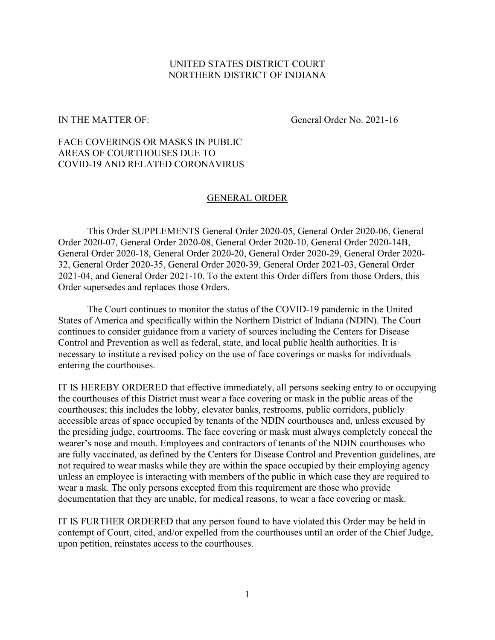## UNITED STATES DISTRICT COURT NORTHERN DISTRICT OF INDIANA

IN THE MATTER OF: General Order No. 2021-16

## FACE COVERINGS OR MASKS IN PUBLIC AREAS OF COURTHOUSES DUE TO COVID-19 AND RELATED CORONAVIRUS

## GENERAL ORDER

This Order SUPPLEMENTS General Order 2020-05, General Order 2020-06, General Order 2020-07, General Order 2020-08, General Order 2020-10, General Order 2020-14B, General Order 2020-18, General Order 2020-20, General Order 2020-29, General Order 2020- 32, General Order 2020-35, General Order 2020-39, General Order 2021-03, General Order 2021-04, and General Order 2021-10. To the extent this Order differs from those Orders, this Order supersedes and replaces those Orders.

The Court continues to monitor the status of the COVID-19 pandemic in the United States of America and specifically within the Northern District of Indiana (NDIN). The Court continues to consider guidance from a variety of sources including the Centers for Disease Control and Prevention as well as federal, state, and local public health authorities. It is necessary to institute a revised policy on the use of face coverings or masks for individuals entering the courthouses.

IT IS HEREBY ORDERED that effective immediately, all persons seeking entry to or occupying the courthouses of this District must wear a face covering or mask in the public areas of the courthouses; this includes the lobby, elevator banks, restrooms, public corridors, publicly accessible areas of space occupied by tenants of the NDIN courthouses and, unless excused by the presiding judge, courtrooms. The face covering or mask must always completely conceal the wearer's nose and mouth. Employees and contractors of tenants of the NDIN courthouses who are fully vaccinated, as defined by the Centers for Disease Control and Prevention guidelines, are not required to wear masks while they are within the space occupied by their employing agency unless an employee is interacting with members of the public in which case they are required to wear a mask. The only persons excepted from this requirement are those who provide documentation that they are unable, for medical reasons, to wear a face covering or mask.

IT IS FURTHER ORDERED that any person found to have violated this Order may be held in contempt of Court, cited, and/or expelled from the courthouses until an order of the Chief Judge, upon petition, reinstates access to the courthouses.